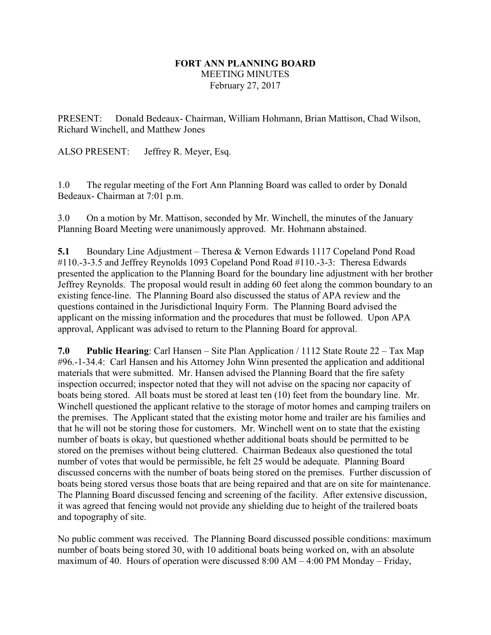## **FORT ANN PLANNING BOARD** MEETING MINUTES February 27, 2017

PRESENT: Donald Bedeaux- Chairman, William Hohmann, Brian Mattison, Chad Wilson, Richard Winchell, and Matthew Jones

ALSO PRESENT: Jeffrey R. Meyer, Esq.

1.0 The regular meeting of the Fort Ann Planning Board was called to order by Donald Bedeaux- Chairman at 7:01 p.m.

3.0 On a motion by Mr. Mattison, seconded by Mr. Winchell, the minutes of the January Planning Board Meeting were unanimously approved. Mr. Hohmann abstained.

**5.1** Boundary Line Adjustment – Theresa & Vernon Edwards 1117 Copeland Pond Road #110.-3-3.5 and Jeffrey Reynolds 1093 Copeland Pond Road #110.-3-3: Theresa Edwards presented the application to the Planning Board for the boundary line adjustment with her brother Jeffrey Reynolds. The proposal would result in adding 60 feet along the common boundary to an existing fence-line. The Planning Board also discussed the status of APA review and the questions contained in the Jurisdictional Inquiry Form. The Planning Board advised the applicant on the missing information and the procedures that must be followed. Upon APA approval, Applicant was advised to return to the Planning Board for approval.

**7.0 Public Hearing**: Carl Hansen – Site Plan Application / 1112 State Route 22 – Tax Map #96.-1-34.4: Carl Hansen and his Attorney John Winn presented the application and additional materials that were submitted. Mr. Hansen advised the Planning Board that the fire safety inspection occurred; inspector noted that they will not advise on the spacing nor capacity of boats being stored. All boats must be stored at least ten (10) feet from the boundary line. Mr. Winchell questioned the applicant relative to the storage of motor homes and camping trailers on the premises. The Applicant stated that the existing motor home and trailer are his families and that he will not be storing those for customers. Mr. Winchell went on to state that the existing number of boats is okay, but questioned whether additional boats should be permitted to be stored on the premises without being cluttered. Chairman Bedeaux also questioned the total number of votes that would be permissible, he felt 25 would be adequate. Planning Board discussed concerns with the number of boats being stored on the premises. Further discussion of boats being stored versus those boats that are being repaired and that are on site for maintenance. The Planning Board discussed fencing and screening of the facility. After extensive discussion, it was agreed that fencing would not provide any shielding due to height of the trailered boats and topography of site.

No public comment was received. The Planning Board discussed possible conditions: maximum number of boats being stored 30, with 10 additional boats being worked on, with an absolute maximum of 40. Hours of operation were discussed 8:00 AM – 4:00 PM Monday – Friday,